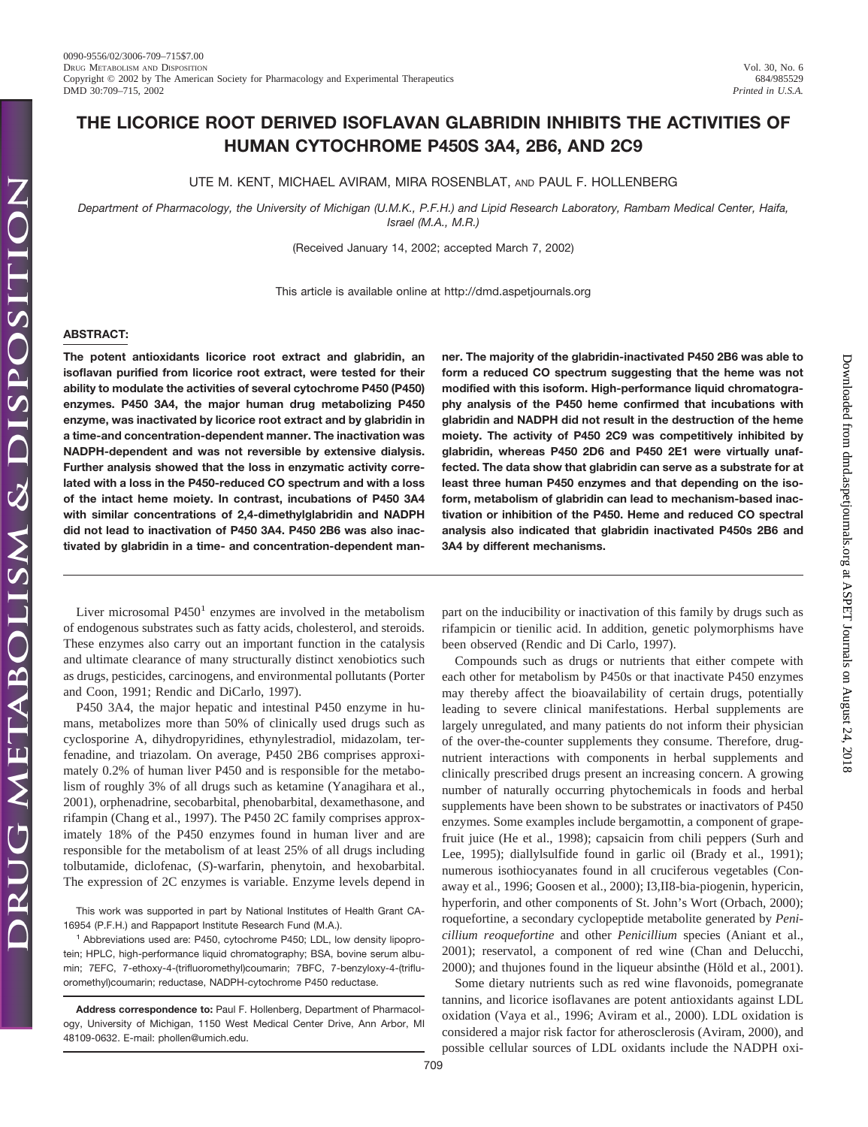Downloaded from [dmd.aspetjournals.org](http://dmd.aspetjournals.org/) at ASPET Journals on August 24, 2018

Downloaded from dmd.aspetjournals.org at ASPET Journals on August 24, 2018

# **THE LICORICE ROOT DERIVED ISOFLAVAN GLABRIDIN INHIBITS THE ACTIVITIES OF HUMAN CYTOCHROME P450S 3A4, 2B6, AND 2C9**

UTE M. KENT, MICHAEL AVIRAM, MIRA ROSENBLAT, AND PAUL F. HOLLENBERG

*Department of Pharmacology, the University of Michigan (U.M.K., P.F.H.) and Lipid Research Laboratory, Rambam Medical Center, Haifa, Israel (M.A., M.R.)*

(Received January 14, 2002; accepted March 7, 2002)

This article is available online at http://dmd.aspetjournals.org

# **ABSTRACT:**

**The potent antioxidants licorice root extract and glabridin, an isoflavan purified from licorice root extract, were tested for their ability to modulate the activities of several cytochrome P450 (P450) enzymes. P450 3A4, the major human drug metabolizing P450 enzyme, was inactivated by licorice root extract and by glabridin in a time-and concentration-dependent manner. The inactivation was NADPH-dependent and was not reversible by extensive dialysis. Further analysis showed that the loss in enzymatic activity correlated with a loss in the P450-reduced CO spectrum and with a loss of the intact heme moiety. In contrast, incubations of P450 3A4 with similar concentrations of 2,4-dimethylglabridin and NADPH did not lead to inactivation of P450 3A4. P450 2B6 was also inactivated by glabridin in a time- and concentration-dependent man-**

Liver microsomal  $P450<sup>1</sup>$  enzymes are involved in the metabolism of endogenous substrates such as fatty acids, cholesterol, and steroids. These enzymes also carry out an important function in the catalysis and ultimate clearance of many structurally distinct xenobiotics such as drugs, pesticides, carcinogens, and environmental pollutants (Porter and Coon, 1991; Rendic and DiCarlo, 1997).

P450 3A4, the major hepatic and intestinal P450 enzyme in humans, metabolizes more than 50% of clinically used drugs such as cyclosporine A, dihydropyridines, ethynylestradiol, midazolam, terfenadine, and triazolam. On average, P450 2B6 comprises approximately 0.2% of human liver P450 and is responsible for the metabolism of roughly 3% of all drugs such as ketamine (Yanagihara et al., 2001), orphenadrine, secobarbital, phenobarbital, dexamethasone, and rifampin (Chang et al., 1997). The P450 2C family comprises approximately 18% of the P450 enzymes found in human liver and are responsible for the metabolism of at least 25% of all drugs including tolbutamide, diclofenac, (*S*)-warfarin, phenytoin, and hexobarbital. The expression of 2C enzymes is variable. Enzyme levels depend in

This work was supported in part by National Institutes of Health Grant CA-16954 (P.F.H.) and Rappaport Institute Research Fund (M.A.).

 $1$  Abbreviations used are: P450, cytochrome P450; LDL, low density lipoprotein; HPLC, high-performance liquid chromatography; BSA, bovine serum albumin; 7EFC, 7-ethoxy-4-(trifluoromethyl)coumarin; 7BFC, 7-benzyloxy-4-(trifluoromethyl)coumarin; reductase, NADPH-cytochrome P450 reductase.

**Address correspondence to:** Paul F. Hollenberg, Department of Pharmacology, University of Michigan, 1150 West Medical Center Drive, Ann Arbor, MI 48109-0632. E-mail: phollen@umich.edu.

**ner. The majority of the glabridin-inactivated P450 2B6 was able to form a reduced CO spectrum suggesting that the heme was not modified with this isoform. High-performance liquid chromatography analysis of the P450 heme confirmed that incubations with glabridin and NADPH did not result in the destruction of the heme moiety. The activity of P450 2C9 was competitively inhibited by glabridin, whereas P450 2D6 and P450 2E1 were virtually unaffected. The data show that glabridin can serve as a substrate for at least three human P450 enzymes and that depending on the isoform, metabolism of glabridin can lead to mechanism-based inactivation or inhibition of the P450. Heme and reduced CO spectral analysis also indicated that glabridin inactivated P450s 2B6 and 3A4 by different mechanisms.**

part on the inducibility or inactivation of this family by drugs such as rifampicin or tienilic acid. In addition, genetic polymorphisms have been observed (Rendic and Di Carlo, 1997).

Compounds such as drugs or nutrients that either compete with each other for metabolism by P450s or that inactivate P450 enzymes may thereby affect the bioavailability of certain drugs, potentially leading to severe clinical manifestations. Herbal supplements are largely unregulated, and many patients do not inform their physician of the over-the-counter supplements they consume. Therefore, drugnutrient interactions with components in herbal supplements and clinically prescribed drugs present an increasing concern. A growing number of naturally occurring phytochemicals in foods and herbal supplements have been shown to be substrates or inactivators of P450 enzymes. Some examples include bergamottin, a component of grapefruit juice (He et al., 1998); capsaicin from chili peppers (Surh and Lee, 1995); diallylsulfide found in garlic oil (Brady et al., 1991); numerous isothiocyanates found in all cruciferous vegetables (Conaway et al., 1996; Goosen et al., 2000); I3,II8-bia-piogenin, hypericin, hyperforin, and other components of St. John's Wort (Orbach, 2000); roquefortine, a secondary cyclopeptide metabolite generated by *Penicillium reoquefortine* and other *Penicillium* species (Aniant et al., 2001); reservatol, a component of red wine (Chan and Delucchi, 2000); and thujones found in the liqueur absinthe (Höld et al., 2001).

Some dietary nutrients such as red wine flavonoids, pomegranate tannins, and licorice isoflavanes are potent antioxidants against LDL oxidation (Vaya et al., 1996; Aviram et al., 2000). LDL oxidation is considered a major risk factor for atherosclerosis (Aviram, 2000), and possible cellular sources of LDL oxidants include the NADPH oxi-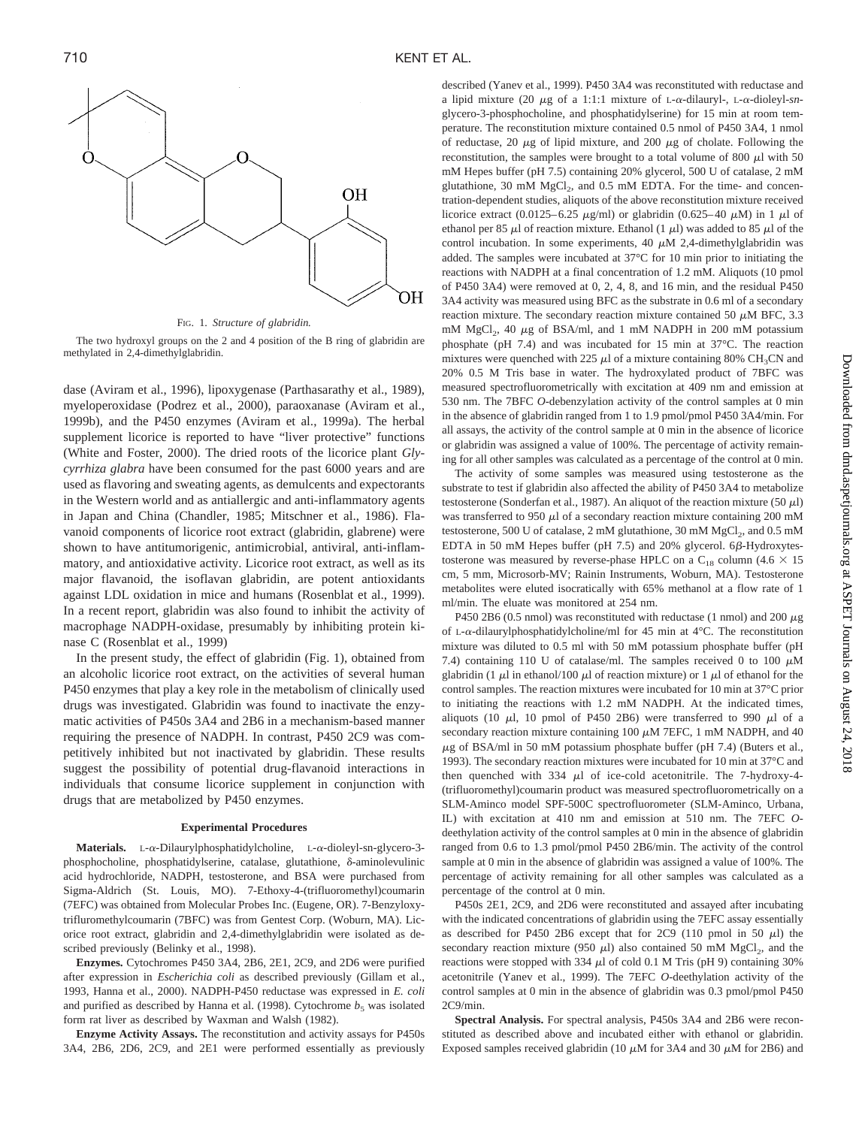

FIG. 1. *Structure of glabridin.*

The two hydroxyl groups on the 2 and 4 position of the B ring of glabridin are methylated in 2,4-dimethylglabridin.

dase (Aviram et al., 1996), lipoxygenase (Parthasarathy et al., 1989), myeloperoxidase (Podrez et al., 2000), paraoxanase (Aviram et al., 1999b), and the P450 enzymes (Aviram et al., 1999a). The herbal supplement licorice is reported to have "liver protective" functions (White and Foster, 2000). The dried roots of the licorice plant *Glycyrrhiza glabra* have been consumed for the past 6000 years and are used as flavoring and sweating agents, as demulcents and expectorants in the Western world and as antiallergic and anti-inflammatory agents in Japan and China (Chandler, 1985; Mitschner et al., 1986). Flavanoid components of licorice root extract (glabridin, glabrene) were shown to have antitumorigenic, antimicrobial, antiviral, anti-inflammatory, and antioxidative activity. Licorice root extract, as well as its major flavanoid, the isoflavan glabridin, are potent antioxidants against LDL oxidation in mice and humans (Rosenblat et al., 1999). In a recent report, glabridin was also found to inhibit the activity of macrophage NADPH-oxidase, presumably by inhibiting protein kinase C (Rosenblat et al., 1999)

In the present study, the effect of glabridin (Fig. 1), obtained from an alcoholic licorice root extract, on the activities of several human P450 enzymes that play a key role in the metabolism of clinically used drugs was investigated. Glabridin was found to inactivate the enzymatic activities of P450s 3A4 and 2B6 in a mechanism-based manner requiring the presence of NADPH. In contrast, P450 2C9 was competitively inhibited but not inactivated by glabridin. These results suggest the possibility of potential drug-flavanoid interactions in individuals that consume licorice supplement in conjunction with drugs that are metabolized by P450 enzymes.

### **Experimental Procedures**

**Materials.** L- $\alpha$ -Dilaurylphosphatidylcholine, L- $\alpha$ -dioleyl-sn-glycero-3phosphocholine, phosphatidylserine, catalase, glutathione,  $\delta$ -aminolevulinic acid hydrochloride, NADPH, testosterone, and BSA were purchased from Sigma-Aldrich (St. Louis, MO). 7-Ethoxy-4-(trifluoromethyl)coumarin (7EFC) was obtained from Molecular Probes Inc. (Eugene, OR). 7-Benzyloxytrifluromethylcoumarin (7BFC) was from Gentest Corp. (Woburn, MA). Licorice root extract, glabridin and 2,4-dimethylglabridin were isolated as described previously (Belinky et al., 1998).

**Enzymes.** Cytochromes P450 3A4, 2B6, 2E1, 2C9, and 2D6 were purified after expression in *Escherichia coli* as described previously (Gillam et al., 1993, Hanna et al., 2000). NADPH-P450 reductase was expressed in *E. coli* and purified as described by Hanna et al. (1998). Cytochrome  $b<sub>5</sub>$  was isolated form rat liver as described by Waxman and Walsh (1982).

**Enzyme Activity Assays.** The reconstitution and activity assays for P450s 3A4, 2B6, 2D6, 2C9, and 2E1 were performed essentially as previously

described (Yanev et al., 1999). P450 3A4 was reconstituted with reductase and a lipid mixture (20  $\mu$ g of a 1:1:1 mixture of L- $\alpha$ -dilauryl-, L- $\alpha$ -dioleyl-snglycero-3-phosphocholine, and phosphatidylserine) for 15 min at room temperature. The reconstitution mixture contained 0.5 nmol of P450 3A4, 1 nmol of reductase, 20  $\mu$ g of lipid mixture, and 200  $\mu$ g of cholate. Following the reconstitution, the samples were brought to a total volume of 800  $\mu$ l with 50 mM Hepes buffer (pH 7.5) containing 20% glycerol, 500 U of catalase, 2 mM glutathione, 30 mM  $MgCl<sub>2</sub>$ , and 0.5 mM EDTA. For the time- and concentration-dependent studies, aliquots of the above reconstitution mixture received licorice extract (0.0125–6.25  $\mu$ g/ml) or glabridin (0.625–40  $\mu$ M) in 1  $\mu$ l of ethanol per 85  $\mu$ l of reaction mixture. Ethanol (1  $\mu$ l) was added to 85  $\mu$ l of the control incubation. In some experiments, 40  $\mu$ M 2,4-dimethylglabridin was added. The samples were incubated at 37°C for 10 min prior to initiating the reactions with NADPH at a final concentration of 1.2 mM. Aliquots (10 pmol of P450 3A4) were removed at 0, 2, 4, 8, and 16 min, and the residual P450 3A4 activity was measured using BFC as the substrate in 0.6 ml of a secondary reaction mixture. The secondary reaction mixture contained 50  $\mu$ M BFC, 3.3 mM MgCl<sub>2</sub>, 40  $\mu$ g of BSA/ml, and 1 mM NADPH in 200 mM potassium phosphate (pH 7.4) and was incubated for 15 min at 37°C. The reaction mixtures were quenched with 225  $\mu$ l of a mixture containing 80% CH<sub>3</sub>CN and 20% 0.5 M Tris base in water. The hydroxylated product of 7BFC was measured spectrofluorometrically with excitation at 409 nm and emission at 530 nm. The 7BFC *O*-debenzylation activity of the control samples at 0 min in the absence of glabridin ranged from 1 to 1.9 pmol/pmol P450 3A4/min. For all assays, the activity of the control sample at 0 min in the absence of licorice or glabridin was assigned a value of 100%. The percentage of activity remaining for all other samples was calculated as a percentage of the control at 0 min.

The activity of some samples was measured using testosterone as the substrate to test if glabridin also affected the ability of P450 3A4 to metabolize testosterone (Sonderfan et al., 1987). An aliquot of the reaction mixture (50  $\mu$ l) was transferred to 950  $\mu$ l of a secondary reaction mixture containing 200 mM testosterone, 500 U of catalase,  $2 \text{ mM}$  glutathione,  $30 \text{ mM}$  MgCl<sub>2</sub>, and  $0.5 \text{ mM}$ EDTA in 50 mM Hepes buffer (pH 7.5) and 20% glycerol.  $6\beta$ -Hydroxytestosterone was measured by reverse-phase HPLC on a C<sub>18</sub> column (4.6  $\times$  15 cm, 5 mm, Microsorb-MV; Rainin Instruments, Woburn, MA). Testosterone metabolites were eluted isocratically with 65% methanol at a flow rate of 1 ml/min. The eluate was monitored at 254 nm.

P450 2B6 (0.5 nmol) was reconstituted with reductase (1 nmol) and 200  $\mu$ g of L- $\alpha$ -dilaurylphosphatidylcholine/ml for 45 min at 4°C. The reconstitution mixture was diluted to 0.5 ml with 50 mM potassium phosphate buffer (pH 7.4) containing 110 U of catalase/ml. The samples received 0 to 100  $\mu$ M glabridin (1  $\mu$ l in ethanol/100  $\mu$ l of reaction mixture) or 1  $\mu$ l of ethanol for the control samples. The reaction mixtures were incubated for 10 min at 37°C prior to initiating the reactions with 1.2 mM NADPH. At the indicated times, aliquots (10  $\mu$ l, 10 pmol of P450 2B6) were transferred to 990  $\mu$ l of a secondary reaction mixture containing 100  $\mu$ M 7EFC, 1 mM NADPH, and 40  $\mu$ g of BSA/ml in 50 mM potassium phosphate buffer (pH 7.4) (Buters et al., 1993). The secondary reaction mixtures were incubated for 10 min at 37°C and then quenched with  $334 \mu l$  of ice-cold acetonitrile. The 7-hydroxy-4-(trifluoromethyl)coumarin product was measured spectrofluorometrically on a SLM-Aminco model SPF-500C spectrofluorometer (SLM-Aminco, Urbana, IL) with excitation at 410 nm and emission at 510 nm. The 7EFC *O*deethylation activity of the control samples at 0 min in the absence of glabridin ranged from 0.6 to 1.3 pmol/pmol P450 2B6/min. The activity of the control sample at 0 min in the absence of glabridin was assigned a value of 100%. The percentage of activity remaining for all other samples was calculated as a percentage of the control at 0 min.

P450s 2E1, 2C9, and 2D6 were reconstituted and assayed after incubating with the indicated concentrations of glabridin using the 7EFC assay essentially as described for P450 2B6 except that for 2C9 (110 pmol in 50  $\mu$ l) the secondary reaction mixture (950  $\mu$ l) also contained 50 mM MgCl<sub>2</sub>, and the reactions were stopped with 334  $\mu$ l of cold 0.1 M Tris (pH 9) containing 30% acetonitrile (Yanev et al., 1999). The 7EFC *O*-deethylation activity of the control samples at 0 min in the absence of glabridin was 0.3 pmol/pmol P450 2C9/min.

**Spectral Analysis.** For spectral analysis, P450s 3A4 and 2B6 were reconstituted as described above and incubated either with ethanol or glabridin. Exposed samples received glabridin (10  $\mu$ M for 3A4 and 30  $\mu$ M for 2B6) and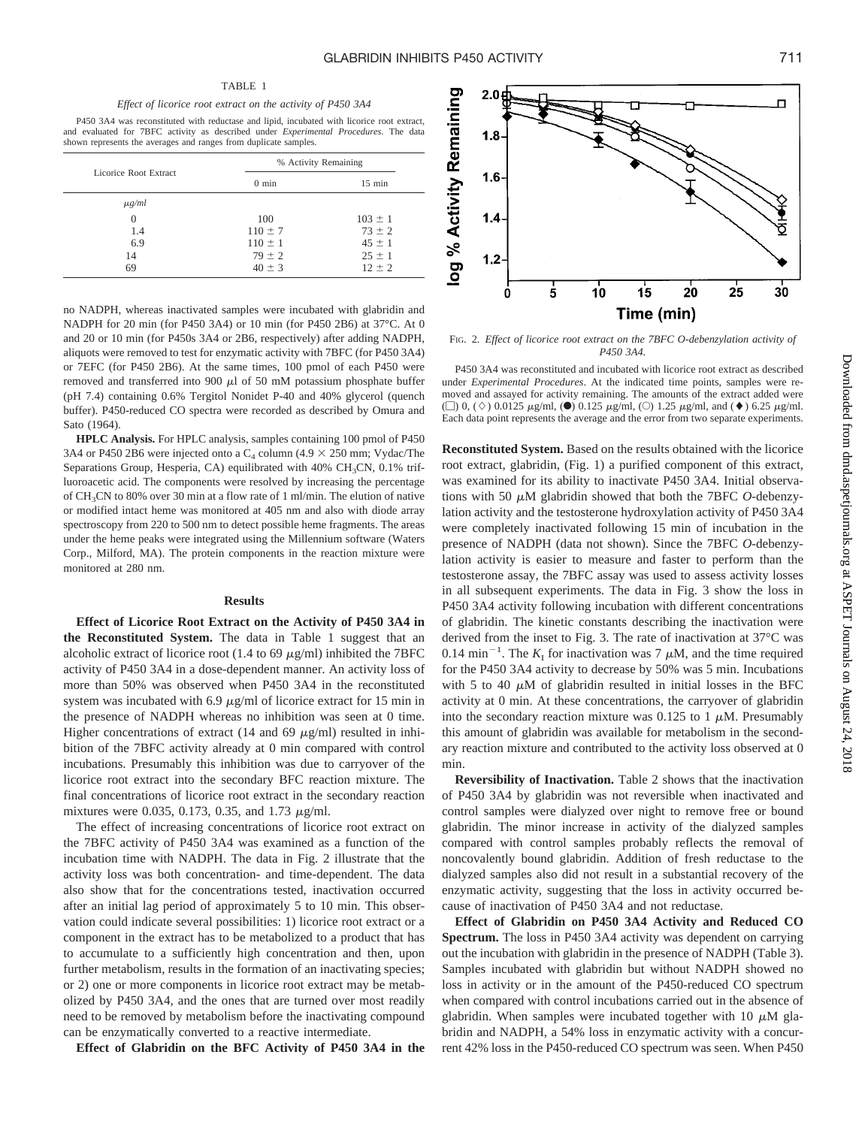P450 3A4 was reconstituted with reductase and lipid, incubated with licorice root extract, and evaluated for 7BFC activity as described under *Experimental Procedures*. The data shown represents the averages and ranges from duplicate samples.

|                       | % Activity Remaining |                  |  |
|-----------------------|----------------------|------------------|--|
| Licorice Root Extract | $0 \text{ min}$      | $15 \text{ min}$ |  |
| $\mu$ g/ml            |                      |                  |  |
| $\Omega$              | 100                  | $103 \pm 1$      |  |
| 1.4                   | $110 \pm 7$          | $73 \pm 2$       |  |
| 6.9                   | $110 \pm 1$          | $45 \pm 1$       |  |
| 14                    | $79 \pm 2$           | $25 \pm 1$       |  |
| 69                    | $40 \pm 3$           | $12 \pm 2$       |  |

no NADPH, whereas inactivated samples were incubated with glabridin and NADPH for 20 min (for P450 3A4) or 10 min (for P450 2B6) at 37°C. At 0 and 20 or 10 min (for P450s 3A4 or 2B6, respectively) after adding NADPH, aliquots were removed to test for enzymatic activity with 7BFC (for P450 3A4) or 7EFC (for P450 2B6). At the same times, 100 pmol of each P450 were removed and transferred into 900  $\mu$ l of 50 mM potassium phosphate buffer (pH 7.4) containing 0.6% Tergitol Nonidet P-40 and 40% glycerol (quench buffer). P450-reduced CO spectra were recorded as described by Omura and Sato (1964).

**HPLC Analysis.** For HPLC analysis, samples containing 100 pmol of P450 3A4 or P450 2B6 were injected onto a  $C_4$  column (4.9  $\times$  250 mm; Vydac/The Separations Group, Hesperia, CA) equilibrated with 40% CH<sub>3</sub>CN, 0.1% trifluoroacetic acid. The components were resolved by increasing the percentage of CH3CN to 80% over 30 min at a flow rate of 1 ml/min. The elution of native or modified intact heme was monitored at 405 nm and also with diode array spectroscopy from 220 to 500 nm to detect possible heme fragments. The areas under the heme peaks were integrated using the Millennium software (Waters Corp., Milford, MA). The protein components in the reaction mixture were monitored at 280 nm.

### **Results**

**Effect of Licorice Root Extract on the Activity of P450 3A4 in the Reconstituted System.** The data in Table 1 suggest that an alcoholic extract of licorice root (1.4 to 69  $\mu$ g/ml) inhibited the 7BFC activity of P450 3A4 in a dose-dependent manner. An activity loss of more than 50% was observed when P450 3A4 in the reconstituted system was incubated with 6.9  $\mu$ g/ml of licorice extract for 15 min in the presence of NADPH whereas no inhibition was seen at 0 time. Higher concentrations of extract (14 and 69  $\mu$ g/ml) resulted in inhibition of the 7BFC activity already at 0 min compared with control incubations. Presumably this inhibition was due to carryover of the licorice root extract into the secondary BFC reaction mixture. The final concentrations of licorice root extract in the secondary reaction mixtures were 0.035, 0.173, 0.35, and 1.73  $\mu$ g/ml.

The effect of increasing concentrations of licorice root extract on the 7BFC activity of P450 3A4 was examined as a function of the incubation time with NADPH. The data in Fig. 2 illustrate that the activity loss was both concentration- and time-dependent. The data also show that for the concentrations tested, inactivation occurred after an initial lag period of approximately 5 to 10 min. This observation could indicate several possibilities: 1) licorice root extract or a component in the extract has to be metabolized to a product that has to accumulate to a sufficiently high concentration and then, upon further metabolism, results in the formation of an inactivating species; or 2) one or more components in licorice root extract may be metabolized by P450 3A4, and the ones that are turned over most readily need to be removed by metabolism before the inactivating compound can be enzymatically converted to a reactive intermediate.

**Effect of Glabridin on the BFC Activity of P450 3A4 in the**



FIG. 2. *Effect of licorice root extract on the 7BFC O-debenzylation activity of P450 3A4.*

P450 3A4 was reconstituted and incubated with licorice root extract as described under *Experimental Procedures*. At the indicated time points, samples were removed and assayed for activity remaining. The amounts of the extract added were ( $\Box$ ) 0, ( $\diamond$ ) 0.0125  $\mu$ g/ml, ( $\bullet$ ) 0.125  $\mu$ g/ml, ( $\odot$ ) 1.25  $\mu$ g/ml, and ( $\bullet$ ) 6.25  $\mu$ g/ml. Each data point represents the average and the error from two separate experiments.

**Reconstituted System.** Based on the results obtained with the licorice root extract, glabridin, (Fig. 1) a purified component of this extract, was examined for its ability to inactivate P450 3A4. Initial observations with 50  $\mu$ M glabridin showed that both the 7BFC  $O$ -debenzylation activity and the testosterone hydroxylation activity of P450 3A4 were completely inactivated following 15 min of incubation in the presence of NADPH (data not shown). Since the 7BFC *O*-debenzylation activity is easier to measure and faster to perform than the testosterone assay, the 7BFC assay was used to assess activity losses in all subsequent experiments. The data in Fig. 3 show the loss in P450 3A4 activity following incubation with different concentrations of glabridin. The kinetic constants describing the inactivation were derived from the inset to Fig. 3. The rate of inactivation at 37°C was 0.14 min<sup>-1</sup>. The  $K_I$  for inactivation was 7  $\mu$ M, and the time required for the P450 3A4 activity to decrease by 50% was 5 min. Incubations with 5 to 40  $\mu$ M of glabridin resulted in initial losses in the BFC activity at 0 min. At these concentrations, the carryover of glabridin into the secondary reaction mixture was 0.125 to 1  $\mu$ M. Presumably this amount of glabridin was available for metabolism in the secondary reaction mixture and contributed to the activity loss observed at 0 min.

**Reversibility of Inactivation.** Table 2 shows that the inactivation of P450 3A4 by glabridin was not reversible when inactivated and control samples were dialyzed over night to remove free or bound glabridin. The minor increase in activity of the dialyzed samples compared with control samples probably reflects the removal of noncovalently bound glabridin. Addition of fresh reductase to the dialyzed samples also did not result in a substantial recovery of the enzymatic activity, suggesting that the loss in activity occurred because of inactivation of P450 3A4 and not reductase.

**Effect of Glabridin on P450 3A4 Activity and Reduced CO Spectrum.** The loss in P450 3A4 activity was dependent on carrying out the incubation with glabridin in the presence of NADPH (Table 3). Samples incubated with glabridin but without NADPH showed no loss in activity or in the amount of the P450-reduced CO spectrum when compared with control incubations carried out in the absence of glabridin. When samples were incubated together with 10  $\mu$ M glabridin and NADPH, a 54% loss in enzymatic activity with a concurrent 42% loss in the P450-reduced CO spectrum was seen. When P450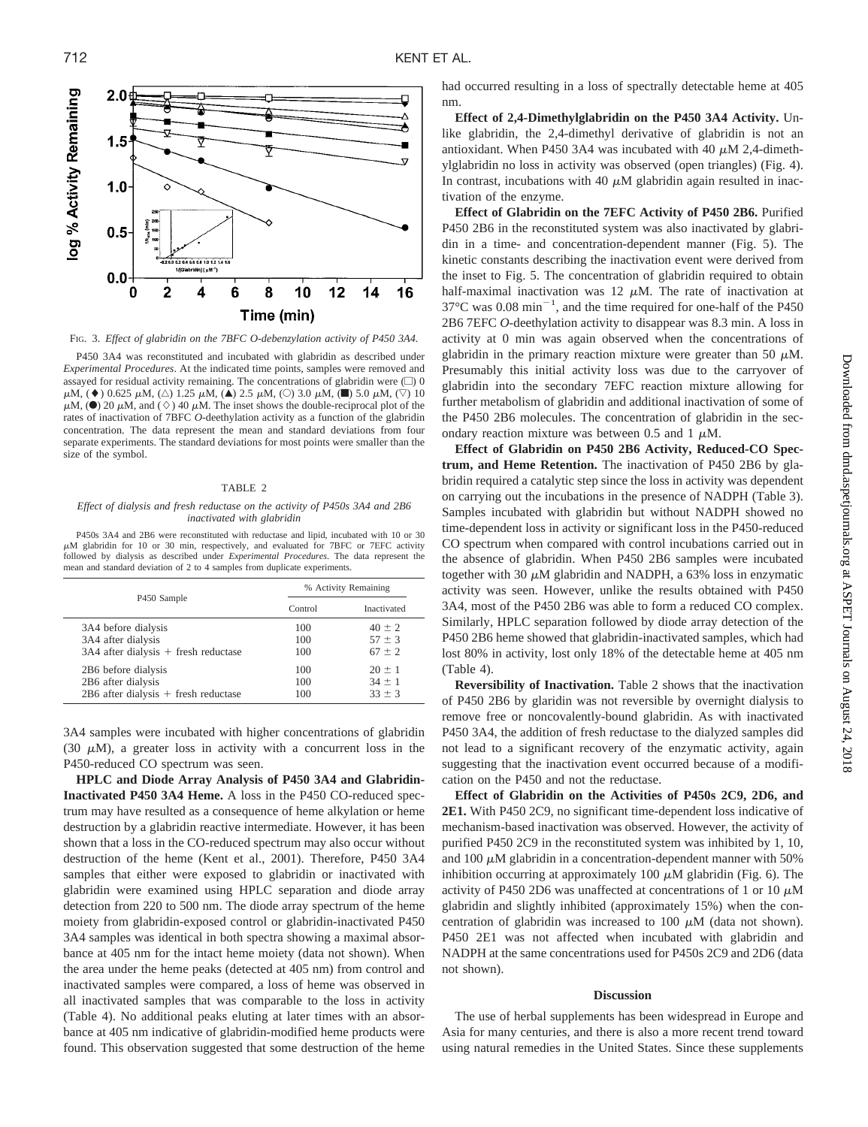

FIG. 3. *Effect of glabridin on the 7BFC O-debenzylation activity of P450 3A4.*

P450 3A4 was reconstituted and incubated with glabridin as described under *Experimental Procedures*. At the indicated time points, samples were removed and assayed for residual activity remaining. The concentrations of glabridin were  $\Box$ ) 0  $\mu$ M, ( $\blacklozenge$ ) 0.625  $\mu$ M, ( $\triangle$ ) 1.25  $\mu$ M, ( $\blacktriangle$ ) 2.5  $\mu$ M, ( $\heartsuit$ ) 3.0  $\mu$ M, ( $\blacksquare$ ) 5.0  $\mu$ M, ( $\triangledown$ ) 10  $\mu$ M, ( $\bullet$ ) 20  $\mu$ M, and ( $\diamond$ ) 40  $\mu$ M. The inset shows the double-reciprocal plot of the rates of inactivation of 7BFC *O*-deethylation activity as a function of the glabridin concentration. The data represent the mean and standard deviations from four separate experiments. The standard deviations for most points were smaller than the size of the symbol.

### TABLE 2

### *Effect of dialysis and fresh reductase on the activity of P450s 3A4 and 2B6 inactivated with glabridin*

P450s 3A4 and 2B6 were reconstituted with reductase and lipid, incubated with 10 or 30 M glabridin for 10 or 30 min, respectively, and evaluated for 7BFC or 7EFC activity followed by dialysis as described under *Experimental Procedures*. The data represent the mean and standard deviation of 2 to 4 samples from duplicate experiments.

|                                          | % Activity Remaining |             |  |
|------------------------------------------|----------------------|-------------|--|
| P450 Sample                              | Control              | Inactivated |  |
| 3A4 before dialysis                      | 100                  | $40 + 2$    |  |
| 3A4 after dialysis                       | 100                  | $57 \pm 3$  |  |
| $3A4$ after dialysis $+$ fresh reductase | 100                  | $67 \pm 2$  |  |
| 2B6 before dialysis                      | 100                  | $20 \pm 1$  |  |
| 2B6 after dialysis                       | 100                  | $34 \pm 1$  |  |
| $2B6$ after dialysis $+$ fresh reductase | 100                  | $33 + 3$    |  |

3A4 samples were incubated with higher concentrations of glabridin (30  $\mu$ M), a greater loss in activity with a concurrent loss in the P450-reduced CO spectrum was seen.

**HPLC and Diode Array Analysis of P450 3A4 and Glabridin-Inactivated P450 3A4 Heme.** A loss in the P450 CO-reduced spectrum may have resulted as a consequence of heme alkylation or heme destruction by a glabridin reactive intermediate. However, it has been shown that a loss in the CO-reduced spectrum may also occur without destruction of the heme (Kent et al., 2001). Therefore, P450 3A4 samples that either were exposed to glabridin or inactivated with glabridin were examined using HPLC separation and diode array detection from 220 to 500 nm. The diode array spectrum of the heme moiety from glabridin-exposed control or glabridin-inactivated P450 3A4 samples was identical in both spectra showing a maximal absorbance at 405 nm for the intact heme moiety (data not shown). When the area under the heme peaks (detected at 405 nm) from control and inactivated samples were compared, a loss of heme was observed in all inactivated samples that was comparable to the loss in activity (Table 4). No additional peaks eluting at later times with an absorbance at 405 nm indicative of glabridin-modified heme products were found. This observation suggested that some destruction of the heme had occurred resulting in a loss of spectrally detectable heme at 405 nm.

**Effect of 2,4-Dimethylglabridin on the P450 3A4 Activity.** Unlike glabridin, the 2,4-dimethyl derivative of glabridin is not an antioxidant. When P450 3A4 was incubated with 40  $\mu$ M 2,4-dimethylglabridin no loss in activity was observed (open triangles) (Fig. 4). In contrast, incubations with 40  $\mu$ M glabridin again resulted in inactivation of the enzyme.

**Effect of Glabridin on the 7EFC Activity of P450 2B6.** Purified P450 2B6 in the reconstituted system was also inactivated by glabridin in a time- and concentration-dependent manner (Fig. 5). The kinetic constants describing the inactivation event were derived from the inset to Fig. 5. The concentration of glabridin required to obtain half-maximal inactivation was 12  $\mu$ M. The rate of inactivation at  $37^{\circ}$ C was 0.08 min<sup>-1</sup>, and the time required for one-half of the P450 2B6 7EFC *O*-deethylation activity to disappear was 8.3 min. A loss in activity at 0 min was again observed when the concentrations of glabridin in the primary reaction mixture were greater than 50  $\mu$ M. Presumably this initial activity loss was due to the carryover of glabridin into the secondary 7EFC reaction mixture allowing for further metabolism of glabridin and additional inactivation of some of the P450 2B6 molecules. The concentration of glabridin in the secondary reaction mixture was between 0.5 and 1  $\mu$ M.

**Effect of Glabridin on P450 2B6 Activity, Reduced-CO Spectrum, and Heme Retention.** The inactivation of P450 2B6 by glabridin required a catalytic step since the loss in activity was dependent on carrying out the incubations in the presence of NADPH (Table 3). Samples incubated with glabridin but without NADPH showed no time-dependent loss in activity or significant loss in the P450-reduced CO spectrum when compared with control incubations carried out in the absence of glabridin. When P450 2B6 samples were incubated together with 30  $\mu$ M glabridin and NADPH, a 63% loss in enzymatic activity was seen. However, unlike the results obtained with P450 3A4, most of the P450 2B6 was able to form a reduced CO complex. Similarly, HPLC separation followed by diode array detection of the P450 2B6 heme showed that glabridin-inactivated samples, which had lost 80% in activity, lost only 18% of the detectable heme at 405 nm (Table 4).

**Reversibility of Inactivation.** Table 2 shows that the inactivation of P450 2B6 by glaridin was not reversible by overnight dialysis to remove free or noncovalently-bound glabridin. As with inactivated P450 3A4, the addition of fresh reductase to the dialyzed samples did not lead to a significant recovery of the enzymatic activity, again suggesting that the inactivation event occurred because of a modification on the P450 and not the reductase.

**Effect of Glabridin on the Activities of P450s 2C9, 2D6, and 2E1.** With P450 2C9, no significant time-dependent loss indicative of mechanism-based inactivation was observed. However, the activity of purified P450 2C9 in the reconstituted system was inhibited by 1, 10, and 100  $\mu$ M glabridin in a concentration-dependent manner with 50% inhibition occurring at approximately 100  $\mu$ M glabridin (Fig. 6). The activity of P450 2D6 was unaffected at concentrations of 1 or 10  $\mu$ M glabridin and slightly inhibited (approximately 15%) when the concentration of glabridin was increased to 100  $\mu$ M (data not shown). P450 2E1 was not affected when incubated with glabridin and NADPH at the same concentrations used for P450s 2C9 and 2D6 (data not shown).

### **Discussion**

The use of herbal supplements has been widespread in Europe and Asia for many centuries, and there is also a more recent trend toward using natural remedies in the United States. Since these supplements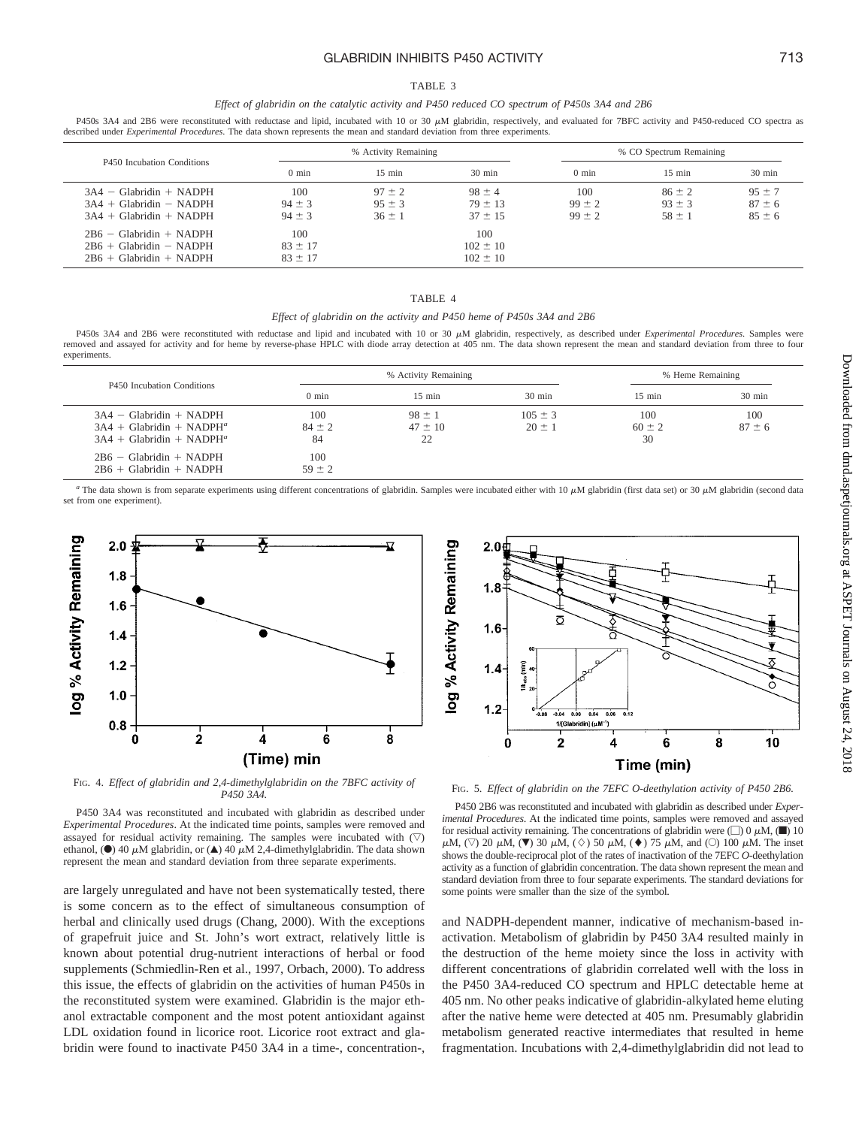# GLABRIDIN INHIBITS P450 ACTIVITY 713

#### TABLE 3

### *Effect of glabridin on the catalytic activity and P450 reduced CO spectrum of P450s 3A4 and 2B6*

P450s 3A4 and 2B6 were reconstituted with reductase and lipid, incubated with 10 or 30  $\mu$ M glabridin, respectively, and evaluated for 7BFC activity and P450-reduced CO spectra as described under *Experimental Procedures*. The data shown represents the mean and standard deviation from three experiments.

| P450 Incubation Conditions                                                          |                                   | % Activity Remaining                   |                                          |                                 | % CO Spectrum Remaining                |                                        |
|-------------------------------------------------------------------------------------|-----------------------------------|----------------------------------------|------------------------------------------|---------------------------------|----------------------------------------|----------------------------------------|
|                                                                                     | $0 \text{ min}$                   | $15$ min                               | $30 \text{ min}$                         | $0 \text{ min}$                 | $15 \text{ min}$                       | $30 \text{ min}$                       |
| $3A4 - Glabridin + NADPH$<br>$3A4 + Glabridin - NADPH$<br>$3A4 + Glabridin + NADPH$ | 100<br>$94 \pm 3$<br>$94 \pm 3$   | $97 \pm 2$<br>$95 \pm 3$<br>$36 \pm 1$ | $98 \pm 4$<br>$79 \pm 13$<br>$37 \pm 15$ | 100<br>$99 \pm 2$<br>$99 \pm 2$ | $86 \pm 2$<br>$93 \pm 3$<br>$58 \pm 1$ | $95 \pm 7$<br>$87 \pm 6$<br>$85 \pm 6$ |
| $2B6 - Glabridin + NADPH$<br>$2B6 + Glabridin - NADPH$<br>$2B6 + Glabridin + NADPH$ | 100<br>$83 \pm 17$<br>$83 \pm 17$ |                                        | 100<br>$102 \pm 10$<br>$102 \pm 10$      |                                 |                                        |                                        |

# TABLE 4

# *Effect of glabridin on the activity and P450 heme of P450s 3A4 and 2B6*

P450s 3A4 and 2B6 were reconstituted with reductase and lipid and incubated with 10 or 30  $\mu$ M glabridin, respectively, as described under *Experimental Procedures*. Samples were removed and assayed for activity and for heme by reverse-phase HPLC with diode array detection at 405 nm. The data shown represent the mean and standard deviation from three to four experiments.

| P450 Incubation Conditions                                                            |                         | % Activity Remaining            |                           |                         | % Heme Remaining  |  |
|---------------------------------------------------------------------------------------|-------------------------|---------------------------------|---------------------------|-------------------------|-------------------|--|
|                                                                                       | $0 \text{ min}$         | $15$ min                        | $30 \text{ min}$          | $15$ min                | $30 \text{ min}$  |  |
| $3A4 - Glabridin + NADPH$<br>$3A4 + Glabridin + NADPHa$<br>$3A4 + Glabridin + NADPHa$ | 100<br>$84 \pm 2$<br>84 | $98 \pm 1$<br>$47 \pm 10$<br>22 | $105 \pm 3$<br>$20 \pm 1$ | 100<br>$60 \pm 2$<br>30 | 100<br>$87 \pm 6$ |  |
| $2B6 - Glabridin + NADPH$<br>$2B6 + Glabridin + NADPH$                                | 100<br>$59 \pm 2$       |                                 |                           |                         |                   |  |

The data shown is from separate experiments using different concentrations of glabridin. Samples were incubated either with  $10 \mu$ M glabridin (first data set) or  $30 \mu$ M glabridin (second data set from one experiment).



FIG. 4. *Effect of glabridin and 2,4-dimethylglabridin on the 7BFC activity of P450 3A4.*

P450 3A4 was reconstituted and incubated with glabridin as described under *Experimental Procedures*. At the indicated time points, samples were removed and assayed for residual activity remaining. The samples were incubated with  $(\nabla)$ ethanol, ( $\bullet$ ) 40  $\mu$ M glabridin, or ( $\blacktriangle$ ) 40  $\mu$ M 2,4-dimethylglabridin. The data shown represent the mean and standard deviation from three separate experiments.

are largely unregulated and have not been systematically tested, there is some concern as to the effect of simultaneous consumption of herbal and clinically used drugs (Chang, 2000). With the exceptions of grapefruit juice and St. John's wort extract, relatively little is known about potential drug-nutrient interactions of herbal or food supplements (Schmiedlin-Ren et al., 1997, Orbach, 2000). To address this issue, the effects of glabridin on the activities of human P450s in the reconstituted system were examined. Glabridin is the major ethanol extractable component and the most potent antioxidant against LDL oxidation found in licorice root. Licorice root extract and glabridin were found to inactivate P450 3A4 in a time-, concentration-,



FIG. 5. *Effect of glabridin on the 7EFC O-deethylation activity of P450 2B6.*

P450 2B6 was reconstituted and incubated with glabridin as described under *Experimental Procedures*. At the indicated time points, samples were removed and assayed for residual activity remaining. The concentrations of glabridin were  $\Box$  0  $\mu$ M,  $\Box$  10  $\mu$ M,  $(\nabla)$  20  $\mu$ M,  $(\nabla)$  30  $\mu$ M,  $(\diamond)$  50  $\mu$ M,  $(\diamond)$  75  $\mu$ M, and  $(\circ)$  100  $\mu$ M. The inset shows the double-reciprocal plot of the rates of inactivation of the 7EFC *O*-deethylation activity as a function of glabridin concentration. The data shown represent the mean and standard deviation from three to four separate experiments. The standard deviations for some points were smaller than the size of the symbol.

and NADPH-dependent manner, indicative of mechanism-based inactivation. Metabolism of glabridin by P450 3A4 resulted mainly in the destruction of the heme moiety since the loss in activity with different concentrations of glabridin correlated well with the loss in the P450 3A4-reduced CO spectrum and HPLC detectable heme at 405 nm. No other peaks indicative of glabridin-alkylated heme eluting after the native heme were detected at 405 nm. Presumably glabridin metabolism generated reactive intermediates that resulted in heme fragmentation. Incubations with 2,4-dimethylglabridin did not lead to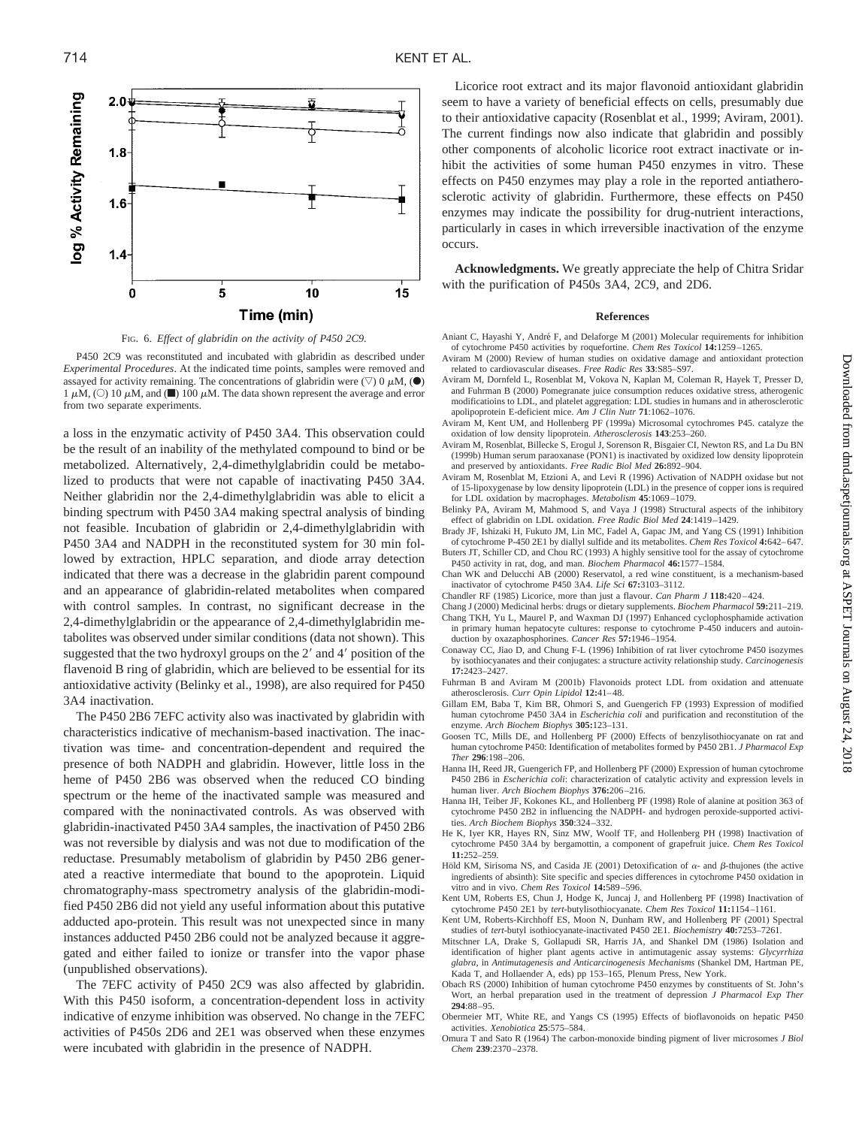

FIG. 6. *Effect of glabridin on the activity of P450 2C9.*

P450 2C9 was reconstituted and incubated with glabridin as described under *Experimental Procedures*. At the indicated time points, samples were removed and assayed for activity remaining. The concentrations of glabridin were  $(\nabla)$  0  $\mu$ M,  $(\bullet)$ 1  $\mu$ M, (O) 10  $\mu$ M, and ( $\blacksquare$ ) 100  $\mu$ M. The data shown represent the average and error from two separate experiments.

a loss in the enzymatic activity of P450 3A4. This observation could be the result of an inability of the methylated compound to bind or be metabolized. Alternatively, 2,4-dimethylglabridin could be metabolized to products that were not capable of inactivating P450 3A4. Neither glabridin nor the 2,4-dimethylglabridin was able to elicit a binding spectrum with P450 3A4 making spectral analysis of binding not feasible. Incubation of glabridin or 2,4-dimethylglabridin with P450 3A4 and NADPH in the reconstituted system for 30 min followed by extraction, HPLC separation, and diode array detection indicated that there was a decrease in the glabridin parent compound and an appearance of glabridin-related metabolites when compared with control samples. In contrast, no significant decrease in the 2,4-dimethylglabridin or the appearance of 2,4-dimethylglabridin metabolites was observed under similar conditions (data not shown). This suggested that the two hydroxyl groups on the  $2'$  and  $4'$  position of the flavenoid B ring of glabridin, which are believed to be essential for its antioxidative activity (Belinky et al., 1998), are also required for P450 3A4 inactivation.

The P450 2B6 7EFC activity also was inactivated by glabridin with characteristics indicative of mechanism-based inactivation. The inactivation was time- and concentration-dependent and required the presence of both NADPH and glabridin. However, little loss in the heme of P450 2B6 was observed when the reduced CO binding spectrum or the heme of the inactivated sample was measured and compared with the noninactivated controls. As was observed with glabridin-inactivated P450 3A4 samples, the inactivation of P450 2B6 was not reversible by dialysis and was not due to modification of the reductase. Presumably metabolism of glabridin by P450 2B6 generated a reactive intermediate that bound to the apoprotein. Liquid chromatography-mass spectrometry analysis of the glabridin-modified P450 2B6 did not yield any useful information about this putative adducted apo-protein. This result was not unexpected since in many instances adducted P450 2B6 could not be analyzed because it aggregated and either failed to ionize or transfer into the vapor phase (unpublished observations).

The 7EFC activity of P450 2C9 was also affected by glabridin. With this P450 isoform, a concentration-dependent loss in activity indicative of enzyme inhibition was observed. No change in the 7EFC activities of P450s 2D6 and 2E1 was observed when these enzymes were incubated with glabridin in the presence of NADPH.

Licorice root extract and its major flavonoid antioxidant glabridin seem to have a variety of beneficial effects on cells, presumably due to their antioxidative capacity (Rosenblat et al., 1999; Aviram, 2001). The current findings now also indicate that glabridin and possibly other components of alcoholic licorice root extract inactivate or inhibit the activities of some human P450 enzymes in vitro. These effects on P450 enzymes may play a role in the reported antiatherosclerotic activity of glabridin. Furthermore, these effects on P450 enzymes may indicate the possibility for drug-nutrient interactions, particularly in cases in which irreversible inactivation of the enzyme occurs.

**Acknowledgments.** We greatly appreciate the help of Chitra Sridar with the purification of P450s 3A4, 2C9, and 2D6.

## **References**

- Aniant C, Hayashi Y, André F, and Delaforge M (2001) Molecular requirements for inhibition of cytochrome P450 activities by roquefortine. *Chem Res Toxicol* **14:**1259–1265.
- Aviram M (2000) Review of human studies on oxidative damage and antioxidant protection related to cardiovascular diseases. *Free Radic Res* **33**:S85–S97.
- Aviram M, Dornfeld L, Rosenblat M, Vokova N, Kaplan M, Coleman R, Hayek T, Presser D, and Fuhrman B (2000) Pomegranate juice consumption reduces oxidative stress, atherogenic modificatioins to LDL, and platelet aggregation: LDL studies in humans and in atherosclerotic apolipoprotein E-deficient mice. *Am J Clin Nutr* **71**:1062–1076.
- Aviram M, Kent UM, and Hollenberg PF (1999a) Microsomal cytochromes P45. catalyze the oxidation of low density lipoprotein. *Atherosclerosis* **143**:253–260.
- Aviram M, Rosenblat, Billecke S, Erogul J, Sorenson R, Bisgaier CI, Newton RS, and La Du BN (1999b) Human serum paraoxanase (PON1) is inactivated by oxidized low density lipoprotein and preserved by antioxidants. *Free Radic Biol Med* **26:**892–904.
- Aviram M, Rosenblat M, Etzioni A, and Levi R (1996) Activation of NADPH oxidase but not of 15-lipoxygenase by low density lipoprotein (LDL) in the presence of copper ions is required for LDL oxidation by macrophages. *Metabolism* **45**:1069–1079.
- Belinky PA, Aviram M, Mahmood S, and Vaya J (1998) Structural aspects of the inhibitory effect of glabridin on LDL oxidation. *Free Radic Biol Med* **24**:1419–1429.
- Brady JF, Ishizaki H, Fukuto JM, Lin MC, Fadel A, Gapac JM, and Yang CS (1991) Inhibition of cytochrome P-450 2E1 by diallyl sulfide and its metabolites. *Chem Res Toxicol* **4:**642–647. Buters JT, Schiller CD, and Chou RC (1993) A highly sensitive tool for the assay of cytochrome
- P450 activity in rat, dog, and man. *Biochem Pharmacol* **46:**1577–1584.
- Chan WK and Delucchi AB (2000) Reservatol, a red wine constituent, is a mechanism-based inactivator of cytochrome P450 3A4. *Life Sci* **67:**3103–3112.
- Chandler RF (1985) Licorice, more than just a flavour. *Can Pharm J* **118:**420–424.
- Chang J (2000) Medicinal herbs: drugs or dietary supplements. *Biochem Pharmacol* **59:**211–219.
- Chang TKH, Yu L, Maurel P, and Waxman DJ (1997) Enhanced cyclophosphamide activation in primary human hepatocyte cultures: response to cytochrome P-450 inducers and autoinduction by oxazaphosphorines. *Cancer Res* **57:**1946–1954.
- Conaway CC, Jiao D, and Chung F-L (1996) Inhibition of rat liver cytochrome P450 isozymes by isothiocyanates and their conjugates: a structure activity relationship study. *Carcinogenesis* **17:**2423–2427.
- Fuhrman B and Aviram M (2001b) Flavonoids protect LDL from oxidation and attenuate atherosclerosis. *Curr Opin Lipidol* **12:**41–48.
- Gillam EM, Baba T, Kim BR, Ohmori S, and Guengerich FP (1993) Expression of modified human cytochrome P450 3A4 in *Escherichia coli* and purification and reconstitution of the enzyme. *Arch Biochem Biophys* **305:**123–131.
- Goosen TC, Mills DE, and Hollenberg PF (2000) Effects of benzylisothiocyanate on rat and human cytochrome P450: Identification of metabolites formed by P450 2B1. *J Pharmacol Exp Ther* **296**:198–206.
- Hanna IH, Reed JR, Guengerich FP, and Hollenberg PF (2000) Expression of human cytochrome P450 2B6 in *Escherichia coli*: characterization of catalytic activity and expression levels in human liver. *Arch Biochem Biophys* **376:**206–216.
- Hanna IH, Teiber JF, Kokones KL, and Hollenberg PF (1998) Role of alanine at position 363 of cytochrome P450 2B2 in influencing the NADPH- and hydrogen peroxide-supported activities. *Arch Biochem Biophys* **350**:324–332.
- He K, Iyer KR, Hayes RN, Sinz MW, Woolf TF, and Hollenberg PH (1998) Inactivation of cytochrome P450 3A4 by bergamottin, a component of grapefruit juice. *Chem Res Toxicol* **11:**252–259.
- Höld KM, Sirisoma NS, and Casida JE (2001) Detoxification of  $\alpha$  and *B*-thujones (the active ingredients of absinth): Site specific and species differences in cytochrome P450 oxidation in vitro and in vivo. *Chem Res Toxicol* **14:**589–596.
- Kent UM, Roberts ES, Chun J, Hodge K, Juncaj J, and Hollenberg PF (1998) Inactivation of cytochrome P450 2E1 by *tert*-butylisothiocyanate. *Chem Res Toxicol* **11:**1154–1161.
- Kent UM, Roberts-Kirchhoff ES, Moon N, Dunham RW, and Hollenberg PF (2001) Spectral studies of *tert*-butyl isothiocyanate-inactivated P450 2E1. *Biochemistry* **40:**7253–7261.
- Mitschner LA, Drake S, Gollapudi SR, Harris JA, and Shankel DM (1986) Isolation and identification of higher plant agents active in antimutagenic assay systems: *Glycyrrhiza glabra*, in *Antimutagenesis and Anticarcinogenesis Mechanisms* (Shankel DM, Hartman PE, Kada T, and Hollaender A, eds) pp 153–165, Plenum Press, New York.
- Obach RS (2000) Inhibition of human cytochrome P450 enzymes by constituents of St. John's Wort, an herbal preparation used in the treatment of depression *J Pharmacol Exp Ther* **294**:88–95.
- Obermeier MT, White RE, and Yangs CS (1995) Effects of bioflavonoids on hepatic P450 activities. *Xenobiotica* **25**:575–584.
- Omura T and Sato R (1964) The carbon-monoxide binding pigment of liver microsomes *J Biol Chem* **239**:2370–2378.